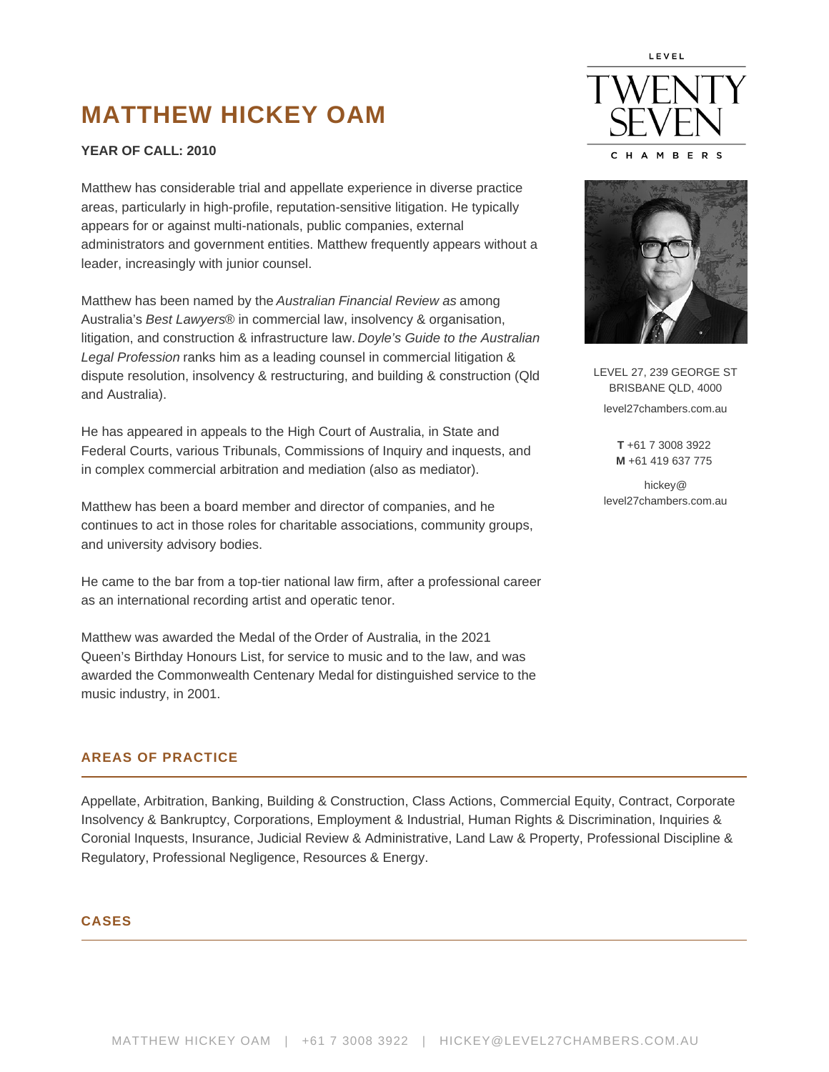# MATTHEW HICKEY OAM

# YEAR OF CALL : 2010

Matthew has considerable trial and appellate experience in diverse practice areas, particularly in high-profile, reputation-sensitive litigation. He typically appears for or against multi-nationals, public companies, external administrators and government entities. Matthew frequently appears without a leader, increasingly with junior counsel.

Matthew has been named by the Australian Financial Review as among Australia's Best Lawyers® in commercial law, insolvency & organisation, litigation, and construction & infrastructure law. Doyle's Guide to the Australian Legal Profession ranks him as a leading counsel in commercial litigation & dispute resolution, insolvency & restructuring, and building & construction (Qld and Australia).

He has appeared in appeals to the High Court of Australia, in State and Federal Courts, various Tribunals, Commissions of Inquiry and inquests, and in complex commercial arbitration and mediation (also as mediator).

Matthew has been a board member and director of companies, and he continues to act in those roles for charitable associations, community groups, and university advisory bodies.

He came to the bar from a top-tier national law firm, after a professional career as an international recording artist and operatic tenor.

Matthew was awarded the Medal of the [Order of Australia,](https://honours.pmc.gov.au/honours/awards/2008609) in the 2021 Queen's Birthday Honours List, for service to music and to the law, and was awarded the [Commonwealth Centenary Medal](https://honours.pmc.gov.au/honours/awards/1128056) for distinguished service to the music industry, in 2001.

LEVEL 27, 239 GEORGE ST BRISBANE QLD, 4000 level27chambers.com.au

> T +61 7 3008 3922 M +61 419 637 775

hickey@ level27chambers.com.au

#### AREAS OF PRACTICE

Appellate, Arbitration, Banking, Building & Construction, Class Actions, Commercial Equity, Contract, Corporate Insolvency & Bankruptcy, Corporations, Employment & Industrial, Human Rights & Discrimination, Inquiries & Coronial Inquests, Insurance, Judicial Review & Administrative, Land Law & Property, Professional Discipline & Regulatory, Professional Negligence, Resources & Energy.

#### CASES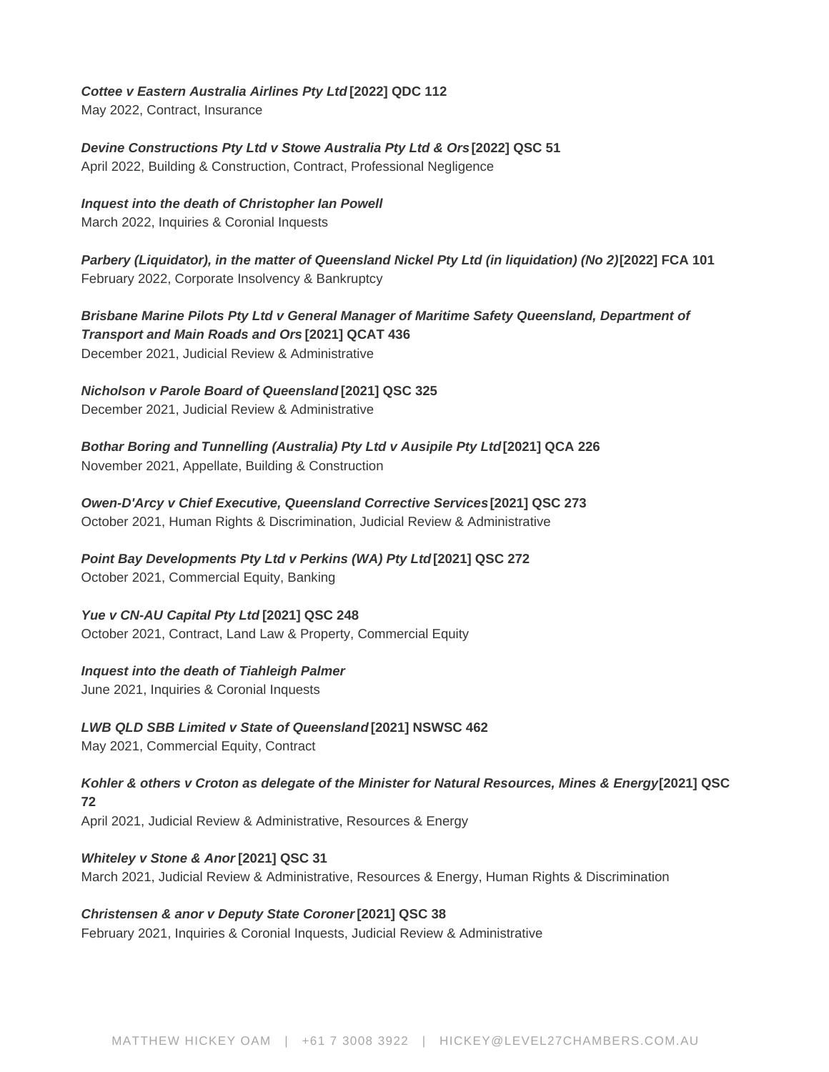#### **Cottee v Eastern Australia Airlines Pty Ltd [2022] QDC 112**

May 2022, Contract, Insurance

**Devine Constructions Pty Ltd v Stowe Australia Pty Ltd & Ors [2022] QSC 51** April 2022, Building & Construction, Contract, Professional Negligence

**Inquest into the death of Christopher Ian Powell**

March 2022, Inquiries & Coronial Inquests

Parbery (Liquidator), in the matter of Queensland Nickel Pty Ltd (in liquidation) (No 2)[2022] FCA 101 February 2022, Corporate Insolvency & Bankruptcy

**Brisbane Marine Pilots Pty Ltd v General Manager of Maritime Safety Queensland, Department of Transport and Main Roads and Ors [2021] QCAT 436** December 2021, Judicial Review & Administrative

**Nicholson v Parole Board of Queensland [2021] QSC 325**

December 2021, Judicial Review & Administrative

**Bothar Boring and Tunnelling (Australia) Pty Ltd v Ausipile Pty Ltd [2021] QCA 226** November 2021, Appellate, Building & Construction

**Owen-D'Arcy v Chief Executive, Queensland Corrective Services [2021] QSC 273** October 2021, Human Rights & Discrimination, Judicial Review & Administrative

**Point Bay Developments Pty Ltd v Perkins (WA) Pty Ltd [2021] QSC 272** October 2021, Commercial Equity, Banking

**Yue v CN-AU Capital Pty Ltd [2021] QSC 248** October 2021, Contract, Land Law & Property, Commercial Equity

# **Inquest into the death of Tiahleigh Palmer**

June 2021, Inquiries & Coronial Inquests

**LWB QLD SBB Limited v State of Queensland [2021] NSWSC 462** May 2021, Commercial Equity, Contract

**Kohler & others v Croton as delegate of the Minister for Natural Resources, Mines & Energy [2021] QSC 72** April 2021, Judicial Review & Administrative, Resources & Energy

**Whiteley v Stone & Anor [2021] QSC 31** March 2021, Judicial Review & Administrative, Resources & Energy, Human Rights & Discrimination

**Christensen & anor v Deputy State Coroner [2021] QSC 38** February 2021, Inquiries & Coronial Inquests, Judicial Review & Administrative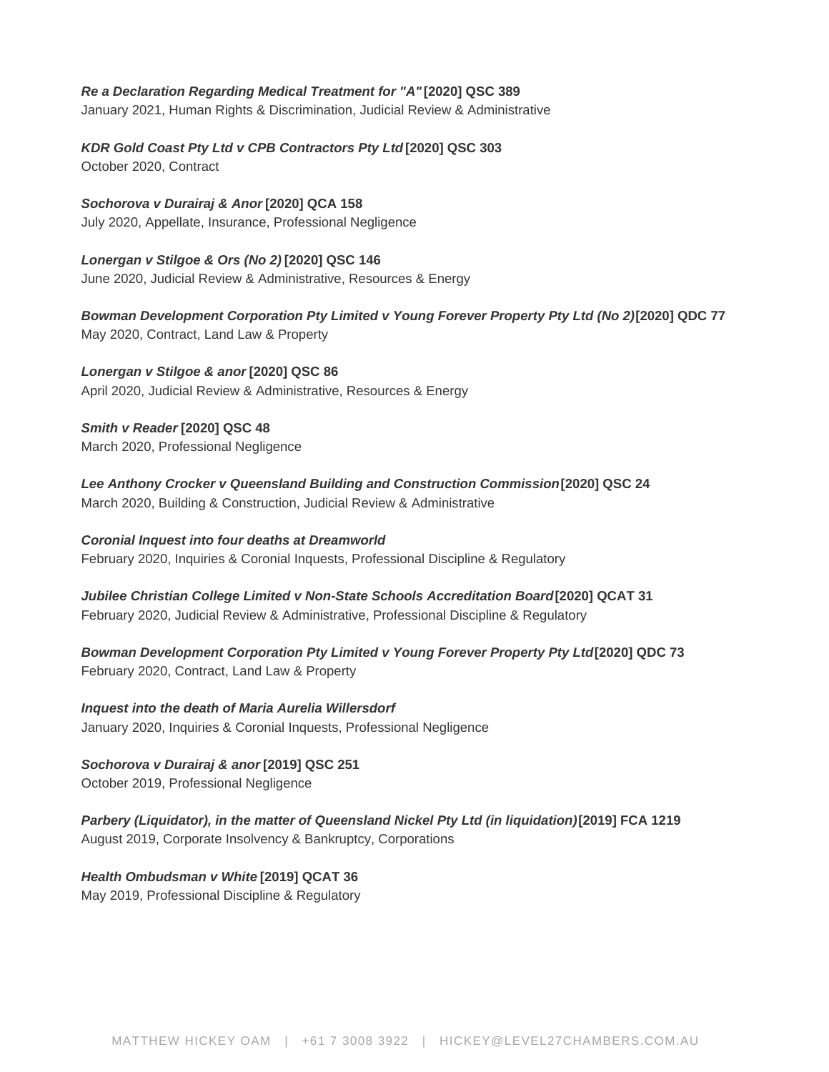# **Re a Declaration Regarding Medical Treatment for "A" [2020] QSC 389**

January 2021, Human Rights & Discrimination, Judicial Review & Administrative

**KDR Gold Coast Pty Ltd v CPB Contractors Pty Ltd [2020] QSC 303**

October 2020, Contract

**Sochorova v Durairaj & Anor [2020] QCA 158** July 2020, Appellate, Insurance, Professional Negligence

**Lonergan v Stilgoe & Ors (No 2) [2020] QSC 146** June 2020, Judicial Review & Administrative, Resources & Energy

**Bowman Development Corporation Pty Limited v Young Forever Property Pty Ltd (No 2) [2020] QDC 77** May 2020, Contract, Land Law & Property

**Lonergan v Stilgoe & anor [2020] QSC 86** April 2020, Judicial Review & Administrative, Resources & Energy

**Smith v Reader [2020] QSC 48** March 2020, Professional Negligence

**Lee Anthony Crocker v Queensland Building and Construction Commission [2020] QSC 24** March 2020, Building & Construction, Judicial Review & Administrative

**Coronial Inquest into four deaths at Dreamworld** February 2020, Inquiries & Coronial Inquests, Professional Discipline & Regulatory

**Jubilee Christian College Limited v Non-State Schools Accreditation Board [2020] QCAT 31** February 2020, Judicial Review & Administrative, Professional Discipline & Regulatory

**Bowman Development Corporation Pty Limited v Young Forever Property Pty Ltd[2020] QDC 73** February 2020, Contract, Land Law & Property

**Inquest into the death of Maria Aurelia Willersdorf** January 2020, Inquiries & Coronial Inquests, Professional Negligence

**Sochorova v Durairaj & anor [2019] QSC 251**

October 2019, Professional Negligence

**Parbery (Liquidator), in the matter of Queensland Nickel Pty Ltd (in liquidation) [2019] FCA 1219** August 2019, Corporate Insolvency & Bankruptcy, Corporations

**Health Ombudsman v White [2019] QCAT 36** May 2019, Professional Discipline & Regulatory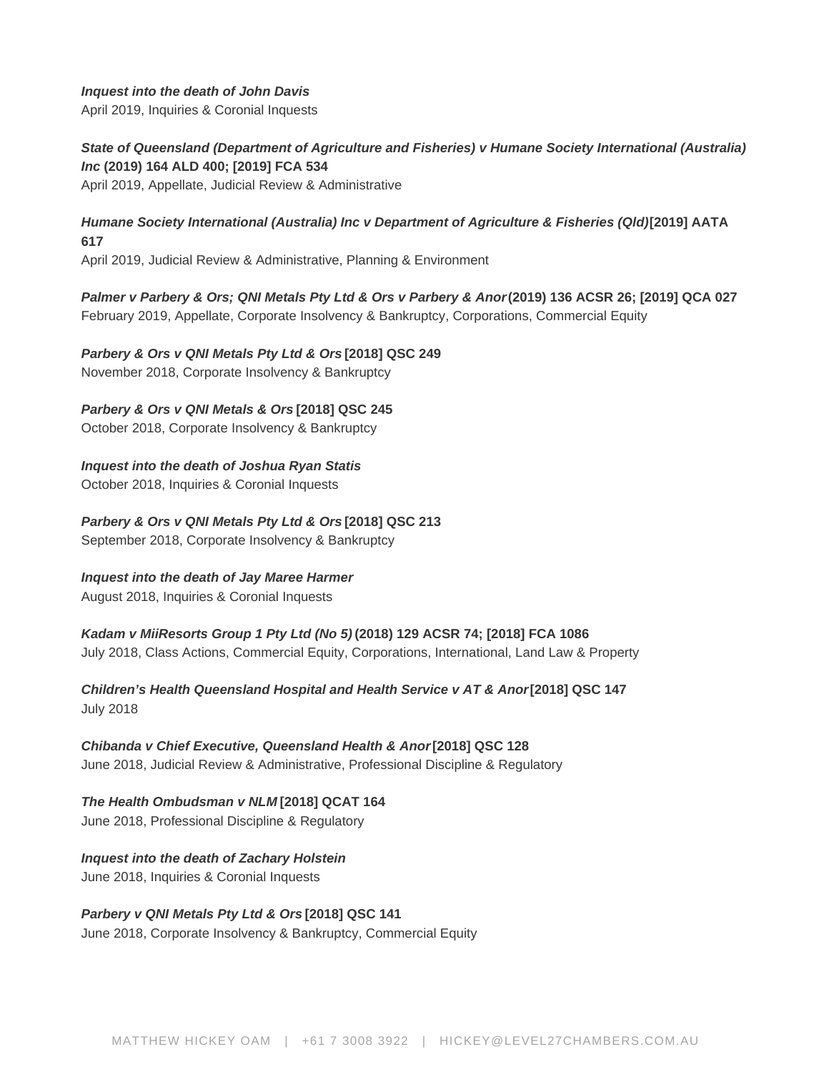#### **Inquest into the death of John Davis**

April 2019, Inquiries & Coronial Inquests

**State of Queensland (Department of Agriculture and Fisheries) v Humane Society International (Australia) Inc (2019) 164 ALD 400; [2019] FCA 534** April 2019, Appellate, Judicial Review & Administrative

# **Humane Society International (Australia) Inc v Department of Agriculture & Fisheries (Qld) [2019] AATA 617**

April 2019, Judicial Review & Administrative, Planning & Environment

**Palmer v Parbery & Ors; QNI Metals Pty Ltd & Ors v Parbery & Anor (2019) 136 ACSR 26; [2019] QCA 027** February 2019, Appellate, Corporate Insolvency & Bankruptcy, Corporations, Commercial Equity

**Parbery & Ors v QNI Metals Pty Ltd & Ors [2018] QSC 249** November 2018, Corporate Insolvency & Bankruptcy

**Parbery & Ors v QNI Metals & Ors [2018] QSC 245**

October 2018, Corporate Insolvency & Bankruptcy

**Inquest into the death of Joshua Ryan Statis** October 2018, Inquiries & Coronial Inquests

**Parbery & Ors v QNI Metals Pty Ltd & Ors [2018] QSC 213** September 2018, Corporate Insolvency & Bankruptcy

#### **Inquest into the death of Jay Maree Harmer**

August 2018, Inquiries & Coronial Inquests

# **Kadam v MiiResorts Group 1 Pty Ltd (No 5) (2018) 129 ACSR 74; [2018] FCA 1086**

July 2018, Class Actions, Commercial Equity, Corporations, International, Land Law & Property

**Children's Health Queensland Hospital and Health Service v AT & Anor [2018] QSC 147** July 2018

**Chibanda v Chief Executive, Queensland Health & Anor [2018] QSC 128** June 2018, Judicial Review & Administrative, Professional Discipline & Regulatory

**The Health Ombudsman v NLM [2018] QCAT 164** June 2018, Professional Discipline & Regulatory

**Inquest into the death of Zachary Holstein** June 2018, Inquiries & Coronial Inquests

**Parbery v QNI Metals Pty Ltd & Ors [2018] QSC 141**

June 2018, Corporate Insolvency & Bankruptcy, Commercial Equity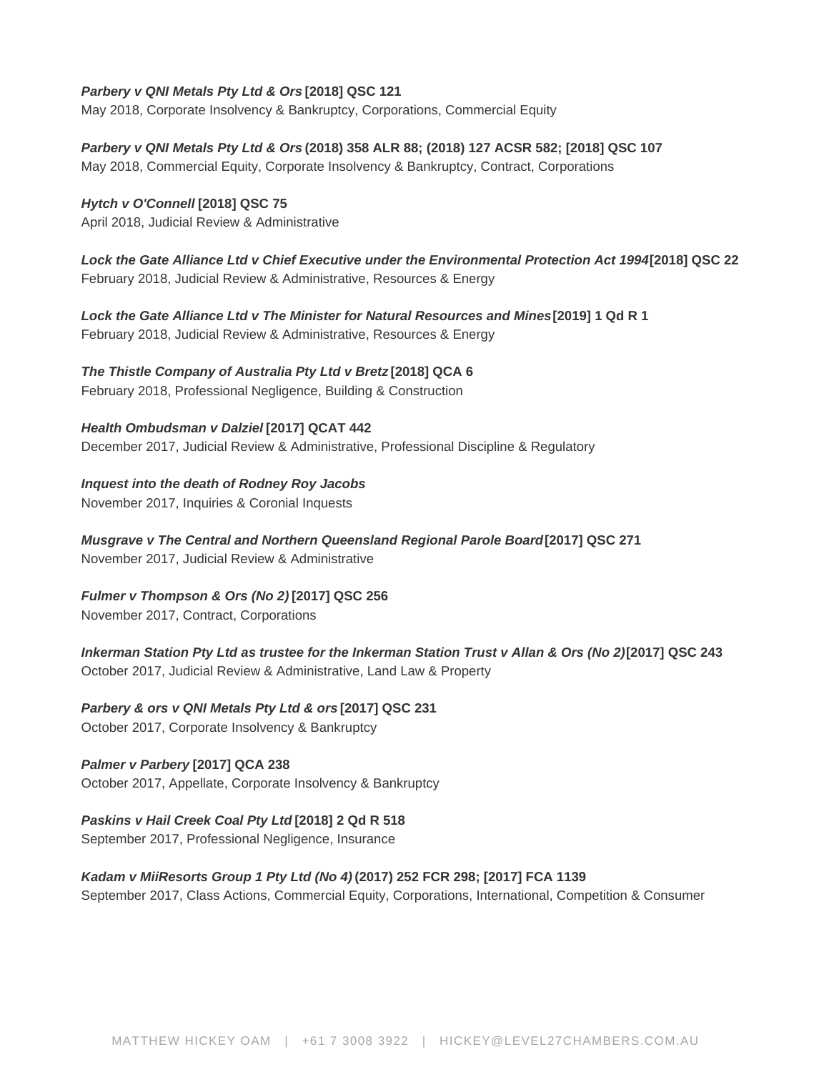# **Parbery v QNI Metals Pty Ltd & Ors [2018] QSC 121**

May 2018, Corporate Insolvency & Bankruptcy, Corporations, Commercial Equity

**Parbery v QNI Metals Pty Ltd & Ors (2018) 358 ALR 88; (2018) 127 ACSR 582; [2018] QSC 107**

May 2018, Commercial Equity, Corporate Insolvency & Bankruptcy, Contract, Corporations

**Hytch v O'Connell [2018] QSC 75** April 2018, Judicial Review & Administrative

**Lock the Gate Alliance Ltd v Chief Executive under the Environmental Protection Act 1994[2018] QSC 22** February 2018, Judicial Review & Administrative, Resources & Energy

**Lock the Gate Alliance Ltd v The Minister for Natural Resources and Mines [2019] 1 Qd R 1** February 2018, Judicial Review & Administrative, Resources & Energy

**The Thistle Company of Australia Pty Ltd v Bretz [2018] QCA 6** February 2018, Professional Negligence, Building & Construction

**Health Ombudsman v Dalziel [2017] QCAT 442** December 2017, Judicial Review & Administrative, Professional Discipline & Regulatory

**Inquest into the death of Rodney Roy Jacobs** November 2017, Inquiries & Coronial Inquests

**Musgrave v The Central and Northern Queensland Regional Parole Board [2017] QSC 271** November 2017, Judicial Review & Administrative

**Fulmer v Thompson & Ors (No 2) [2017] QSC 256**

November 2017, Contract, Corporations

**Inkerman Station Pty Ltd as trustee for the Inkerman Station Trust v Allan & Ors (No 2) [2017] QSC 243** October 2017, Judicial Review & Administrative, Land Law & Property

**Parbery & ors v QNI Metals Pty Ltd & ors [2017] QSC 231**

October 2017, Corporate Insolvency & Bankruptcy

**Palmer v Parbery [2017] QCA 238** October 2017, Appellate, Corporate Insolvency & Bankruptcy

**Paskins v Hail Creek Coal Pty Ltd [2018] 2 Qd R 518**

September 2017, Professional Negligence, Insurance

# **Kadam v MiiResorts Group 1 Pty Ltd (No 4) (2017) 252 FCR 298; [2017] FCA 1139**

September 2017, Class Actions, Commercial Equity, Corporations, International, Competition & Consumer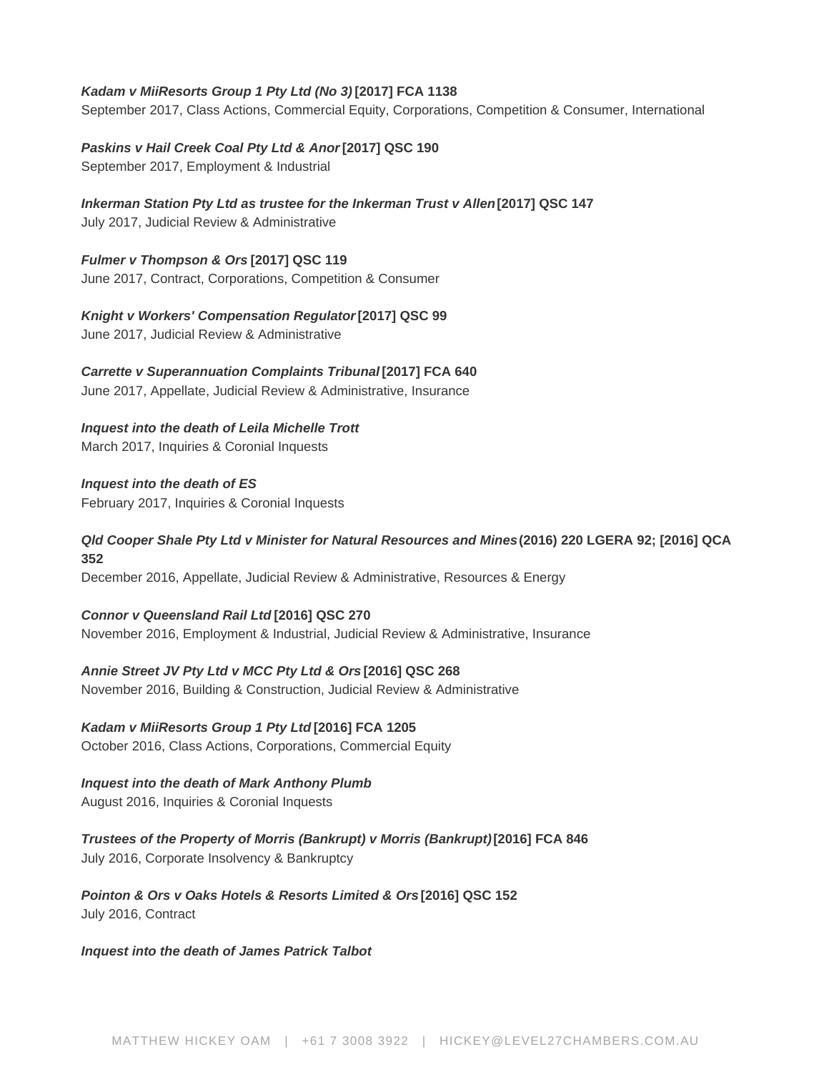# **Kadam v MiiResorts Group 1 Pty Ltd (No 3) [2017] FCA 1138**

September 2017, Class Actions, Commercial Equity, Corporations, Competition & Consumer, International

**Paskins v Hail Creek Coal Pty Ltd & Anor [2017] QSC 190**

September 2017, Employment & Industrial

**Inkerman Station Pty Ltd as trustee for the Inkerman Trust v Allen [2017] QSC 147** 

July 2017, Judicial Review & Administrative

**Fulmer v Thompson & Ors [2017] QSC 119** June 2017, Contract, Corporations, Competition & Consumer

**Knight v Workers' Compensation Regulator [2017] QSC 99** June 2017, Judicial Review & Administrative

**Carrette v Superannuation Complaints Tribunal [2017] FCA 640** June 2017, Appellate, Judicial Review & Administrative, Insurance

**Inquest into the death of Leila Michelle Trott**

March 2017, Inquiries & Coronial Inquests

**Inquest into the death of ES** February 2017, Inquiries & Coronial Inquests

# **Qld Cooper Shale Pty Ltd v Minister for Natural Resources and Mines (2016) 220 LGERA 92; [2016] QCA 352**

December 2016, Appellate, Judicial Review & Administrative, Resources & Energy

**Connor v Queensland Rail Ltd [2016] QSC 270** November 2016, Employment & Industrial, Judicial Review & Administrative, Insurance

**Annie Street JV Pty Ltd v MCC Pty Ltd & Ors [2016] QSC 268** November 2016, Building & Construction, Judicial Review & Administrative

**Kadam v MiiResorts Group 1 Pty Ltd [2016] FCA 1205** October 2016, Class Actions, Corporations, Commercial Equity

**Inquest into the death of Mark Anthony Plumb** August 2016, Inquiries & Coronial Inquests

**Trustees of the Property of Morris (Bankrupt) v Morris (Bankrupt) [2016] FCA 846** July 2016, Corporate Insolvency & Bankruptcy

**Pointon & Ors v Oaks Hotels & Resorts Limited & Ors [2016] QSC 152** July 2016, Contract

# **Inquest into the death of James Patrick Talbot**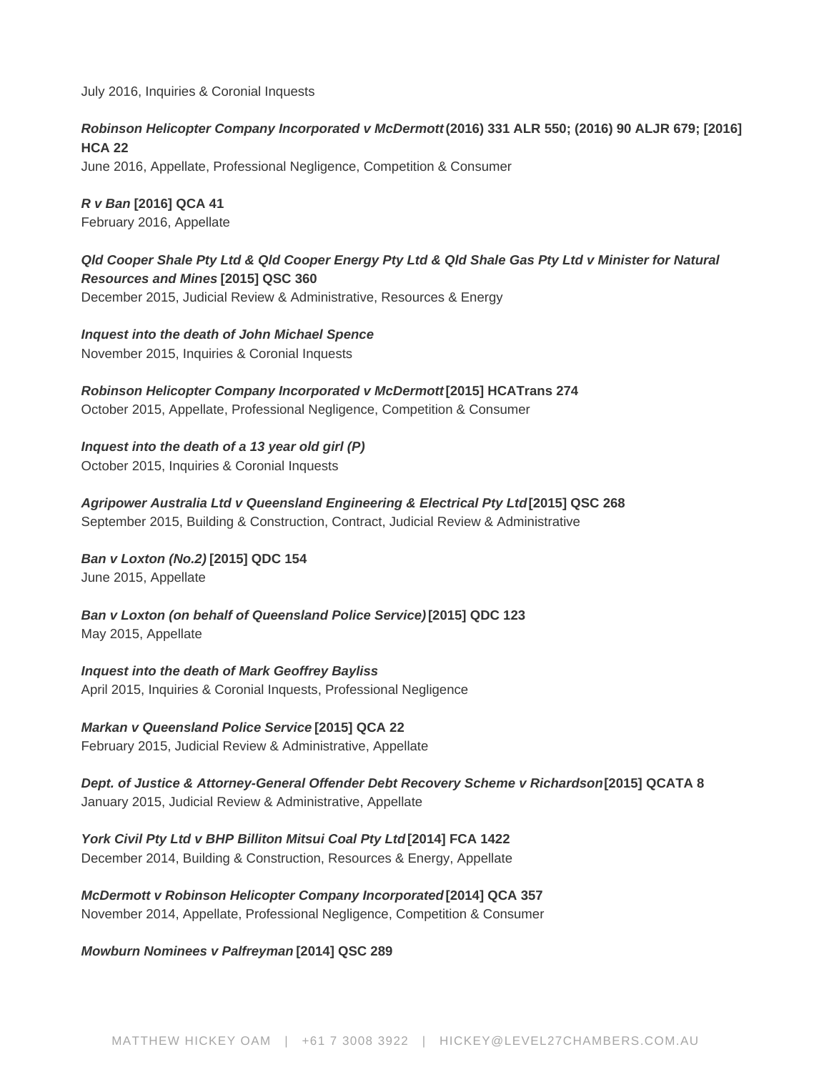July 2016, Inquiries & Coronial Inquests

**Robinson Helicopter Company Incorporated v McDermott (2016) 331 ALR 550; (2016) 90 ALJR 679; [2016] HCA 22**

June 2016, Appellate, Professional Negligence, Competition & Consumer

**R v Ban [2016] QCA 41** February 2016, Appellate

**Qld Cooper Shale Pty Ltd & Qld Cooper Energy Pty Ltd & Qld Shale Gas Pty Ltd v Minister for Natural Resources and Mines [2015] QSC 360** December 2015, Judicial Review & Administrative, Resources & Energy

**Inquest into the death of John Michael Spence** November 2015, Inquiries & Coronial Inquests

**Robinson Helicopter Company Incorporated v McDermott [2015] HCATrans 274** October 2015, Appellate, Professional Negligence, Competition & Consumer

**Inquest into the death of a 13 year old girl (P)** October 2015, Inquiries & Coronial Inquests

**Agripower Australia Ltd v Queensland Engineering & Electrical Pty Ltd [2015] QSC 268** September 2015, Building & Construction, Contract, Judicial Review & Administrative

**Ban v Loxton (No.2) [2015] QDC 154**

June 2015, Appellate

**Ban v Loxton (on behalf of Queensland Police Service) [2015] QDC 123** May 2015, Appellate

**Inquest into the death of Mark Geoffrey Bayliss** April 2015, Inquiries & Coronial Inquests, Professional Negligence

**Markan v Queensland Police Service [2015] QCA 22** February 2015, Judicial Review & Administrative, Appellate

**Dept. of Justice & Attorney-General Offender Debt Recovery Scheme v Richardson [2015] QCATA 8** January 2015, Judicial Review & Administrative, Appellate

**York Civil Pty Ltd v BHP Billiton Mitsui Coal Pty Ltd [2014] FCA 1422** December 2014, Building & Construction, Resources & Energy, Appellate

**McDermott v Robinson Helicopter Company Incorporated [2014] QCA 357** November 2014, Appellate, Professional Negligence, Competition & Consumer

**Mowburn Nominees v Palfreyman [2014] QSC 289**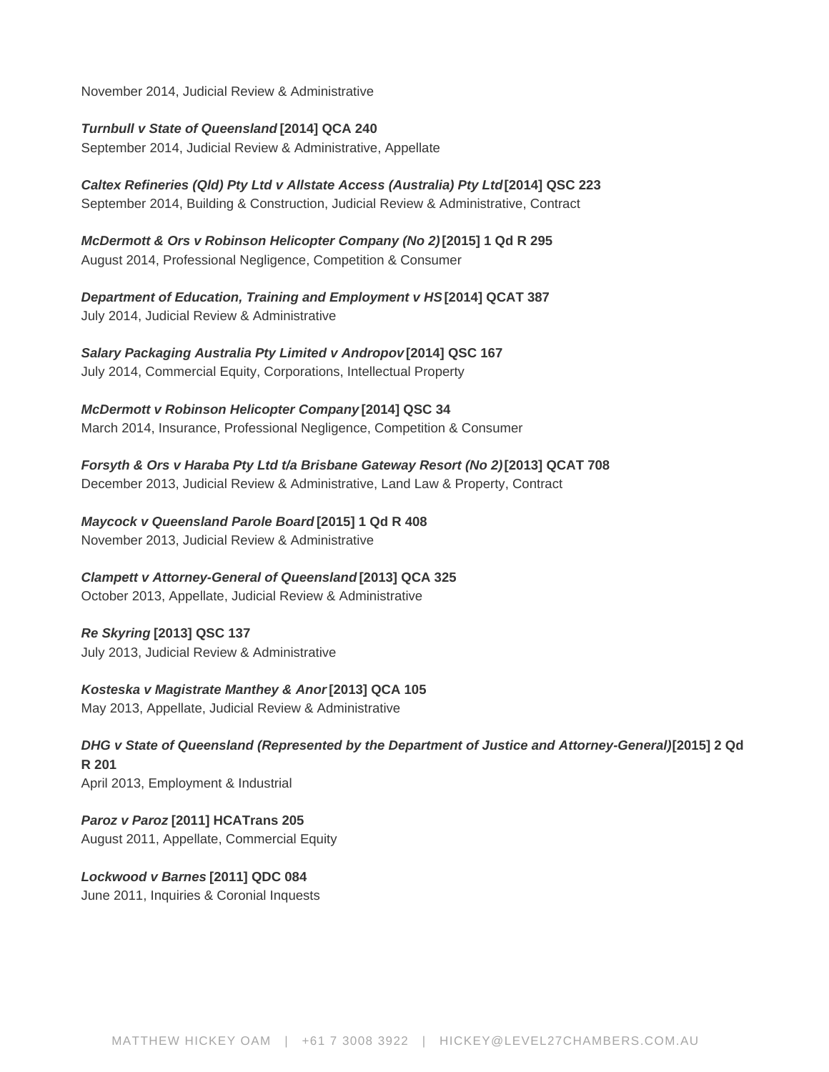November 2014, Judicial Review & Administrative

**Turnbull v State of Queensland [2014] QCA 240**

September 2014, Judicial Review & Administrative, Appellate

**Caltex Refineries (Qld) Pty Ltd v Allstate Access (Australia) Pty Ltd [2014] QSC 223** September 2014, Building & Construction, Judicial Review & Administrative, Contract

**McDermott & Ors v Robinson Helicopter Company (No 2) [2015] 1 Qd R 295** August 2014, Professional Negligence, Competition & Consumer

**Department of Education, Training and Employment v HS [2014] QCAT 387** July 2014, Judicial Review & Administrative

**Salary Packaging Australia Pty Limited v Andropov [2014] QSC 167** July 2014, Commercial Equity, Corporations, Intellectual Property

**McDermott v Robinson Helicopter Company [2014] QSC 34** March 2014, Insurance, Professional Negligence, Competition & Consumer

**Forsyth & Ors v Haraba Pty Ltd t/a Brisbane Gateway Resort (No 2) [2013] QCAT 708** December 2013, Judicial Review & Administrative, Land Law & Property, Contract

**Maycock v Queensland Parole Board [2015] 1 Qd R 408** November 2013, Judicial Review & Administrative

**Clampett v Attorney-General of Queensland [2013] QCA 325**

October 2013, Appellate, Judicial Review & Administrative

**Re Skyring [2013] QSC 137** July 2013, Judicial Review & Administrative

**Kosteska v Magistrate Manthey & Anor [2013] QCA 105** May 2013, Appellate, Judicial Review & Administrative

**DHG v State of Queensland (Represented by the Department of Justice and Attorney-General) [2015] 2 Qd R 201** April 2013, Employment & Industrial

**Paroz v Paroz [2011] HCATrans 205** August 2011, Appellate, Commercial Equity

**Lockwood v Barnes [2011] QDC 084** June 2011, Inquiries & Coronial Inquests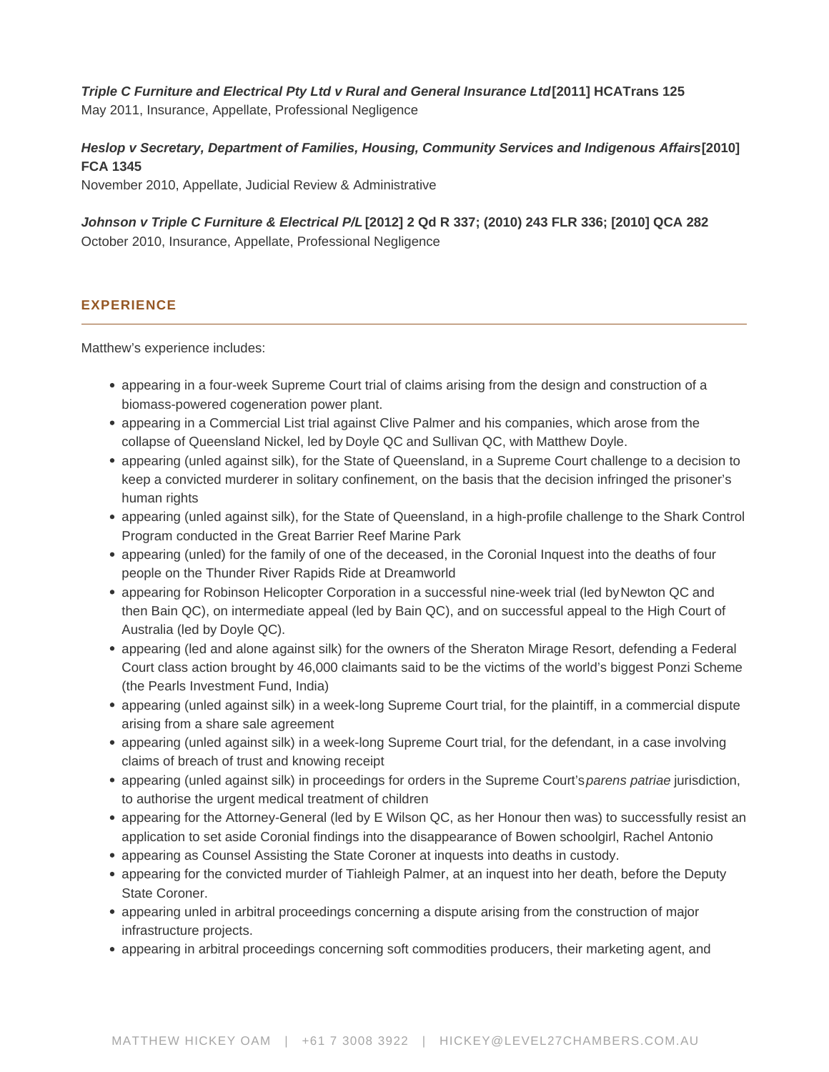Triple C Furniture and Electrical Pty Ltd v Rural and General Insurance Ltd [2011] HCATrans 125 May 2011, Insurance, Appellate, Professional Negligence

Heslop v Secretary, Department of Families, Housing, Community Services and Indigenous Affairs [2010] FCA 1345 November 2010, Appellate, Judicial Review & Administrative

Johnson v Triple C Furniture & Electrical P/L [2012] 2 Qd R 337; (2010) 243 FLR 336; [2010] QCA 282 October 2010, Insurance, Appellate, Professional Negligence

# EXPERIENCE

Matthew's experience includes:

- appearing in a four-week Supreme Court trial of claims arising from the design and construction of a biomass-powered cogeneration power plant.
- appearing in a Commercial List trial against Clive Palmer and his companies, which arose from the collapse of Queensland Nickel, led by [Doyle QC](https://www.level27chambers.com.au/barristers/shane-doyle/) and Sullivan QC, with [Matthew Doyle.](https://www.level27chambers.com.au/barristers/matthew-doyle/)
- appearing (unled against silk), for the State of Queensland, in a Supreme Court challenge to a decision to keep a convicted murderer in solitary confinement, on the basis that the decision infringed the prisoner's human rights
- appearing (unled against silk), for the State of Queensland, in a high-profile challenge to the Shark Control Program conducted in the Great Barrier Reef Marine Park
- appearing (unled) for the family of one of the deceased, in the Coronial Inquest into the deaths of four people on the Thunder River Rapids Ride at Dreamworld
- appearing for Robinson Helicopter Corporation in a successful nine-week trial (led by [Newton QC](https://www.level27chambers.com.au/barristers/glenn-newton/) and then Bain QC), on intermediate appeal (led by Bain QC), and on successful appeal to the High Court of Australia (led by [Doyle QC\)](https://www.level27chambers.com.au/barristers/shane-doyle/).
- appearing (led and alone against silk) for the owners of the Sheraton Mirage Resort, defending a Federal Court class action brought by 46,000 claimants said to be the victims of the world's biggest Ponzi Scheme (the Pearls Investment Fund, India)
- appearing (unled against silk) in a week-long Supreme Court trial, for the plaintiff, in a commercial dispute arising from a share sale agreement
- appearing (unled against silk) in a week-long Supreme Court trial, for the defendant, in a case involving claims of breach of trust and knowing receipt
- appearing (unled against silk) in proceedings for orders in the Supreme Court's parens patriae jurisdiction, to authorise the urgent medical treatment of children
- appearing for the Attorney-General (led by E Wilson QC, as her Honour then was) to successfully resist an application to set aside Coronial findings into the disappearance of Bowen schoolgirl, Rachel Antonio
- appearing as Counsel Assisting the State Coroner at inquests into deaths in custody.
- appearing for the convicted murder of Tiahleigh Palmer, at an inquest into her death, before the Deputy State Coroner.
- appearing unled in arbitral proceedings concerning a dispute arising from the construction of major infrastructure projects.
- appearing in arbitral proceedings concerning soft commodities producers, their marketing agent, and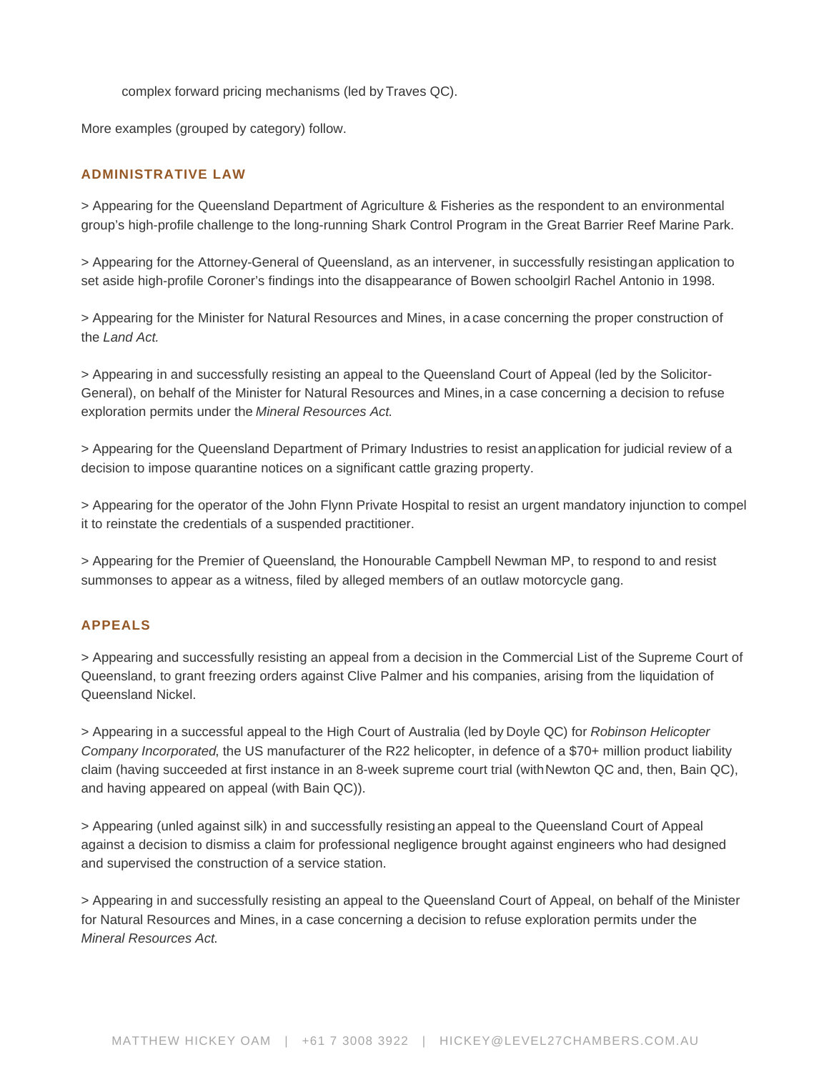complex forward pricing mechanisms (led by [Traves QC](https://www.level27chambers.com.au/barristers/roger-traves/)).

More examples (grouped by category) follow.

# ADMINISTRATIVE LAW

> Appearing for the Queensland Department of Agriculture & Fisheries as the respondent to an environmental group's high-profile [challenge](https://www.news.com.au/national/breaking-news/legal-challenge-to-barrier-reef-shark-cull/news-story/346ce779cead9ef9a05bc51841cc99de) to the long-running Shark Control Program in the Great Barrier Reef Marine Park.

> Appearing for the Attorney-General of Queensland, as an intervener, in successfully resisting [an application](https://www.level27chambers.com.au/cases/hytch-v-oconnell-2018-qsc-75/) to set aside high-profile Coroner's findings into the disappearance of Bowen schoolgirl Rachel Antonio in 1998.

> Appearing for the Minister for Natural Resources and Mines, in a [case](https://www.level27chambers.com.au/cases/inkerman-station-pty-ltd-trustee-inkerman-trust-v-allen-2017-qsc-147/) concerning the proper construction of the Land Act.

> Appearing in and successfully resisting an appeal to the Queensland Court of Appeal (led by the Solicitor-General), on behalf of the Minister for Natural Resources and Mines, [in a case](https://www.level27chambers.com.au/cases/qld-cooper-shale-pty-ltd-v-minister-natural-resources-mines2016-qca-352/) concerning a decision to refuse exploration permits under the Mineral Resources Act.

> Appearing for the Queensland Department of Primary Industries to resist an [application](https://www.level27chambers.com.au/cases/mowburn-nominees-ors-v-palfreyman-ors-2014-qsc-289/) for judicial review of a decision to impose quarantine notices on a significant cattle grazing property.

> Appearing for the operator of the John Flynn Private Hospital to resist an urgent mandatory injunction to compel it to reinstate the credentials of a suspended practitioner.

> [Appearing for the Premier of Queensland](http://www.couriermail.com.au/news/broadbeach-brawl-bandido-bikies-granted-order-allowing-them-to-work-together/story-e6freon6-1226861043510), the Honourable Campbell Newman MP, to respond to and resist summonses to appear as a witness, filed by alleged members of an outlaw motorcycle gang.

#### APPEALS

> Appearing and successfully resisting an appeal from a decision in the Commercial List of the Supreme Court of Queensland, to grant freezing orders against Clive Palmer and his companies, arising from the liquidation of Queensland Nickel.

> Appearing in a [successful appeal](https://www.level27chambers.com.au/cases/robinson-helicopter-company-incorporated-v-mcdermott-2016-hca-22/) to the High Court of Australia (led by [Doyle QC](https://www.level27chambers.com.au/barristers/shane-doyle/)) for Robinson Helicopter Company Incorporated, the US manufacturer of the R22 helicopter, in defence of a \$70+ million product liability claim (having succeeded at first instance in an 8-week supreme court trial (with [Newton QC](https://www.level27chambers.com.au/barristers/glenn-newton/) and, then, Bain QC), and having appeared on appeal (with Bain QC)).

> Appearing (unled against silk) in and successfully resisting [an appeal](https://www.level27chambers.com.au/cases/thistle-company-australia-pty-ltd-v-bretz-2018-qca-6/) to the Queensland Court of Appeal against a decision to dismiss a claim for professional negligence brought against engineers who had designed and supervised the construction of a service station.

> Appearing in and successfully resisting an appeal to the Queensland Court of Appeal, on behalf of the Minister for Natural Resources and Mines, [in a case](https://www.level27chambers.com.au/cases/qld-cooper-shale-pty-ltd-v-minister-natural-resources-mines2016-qca-352/) concerning a decision to refuse exploration permits under the Mineral Resources Act.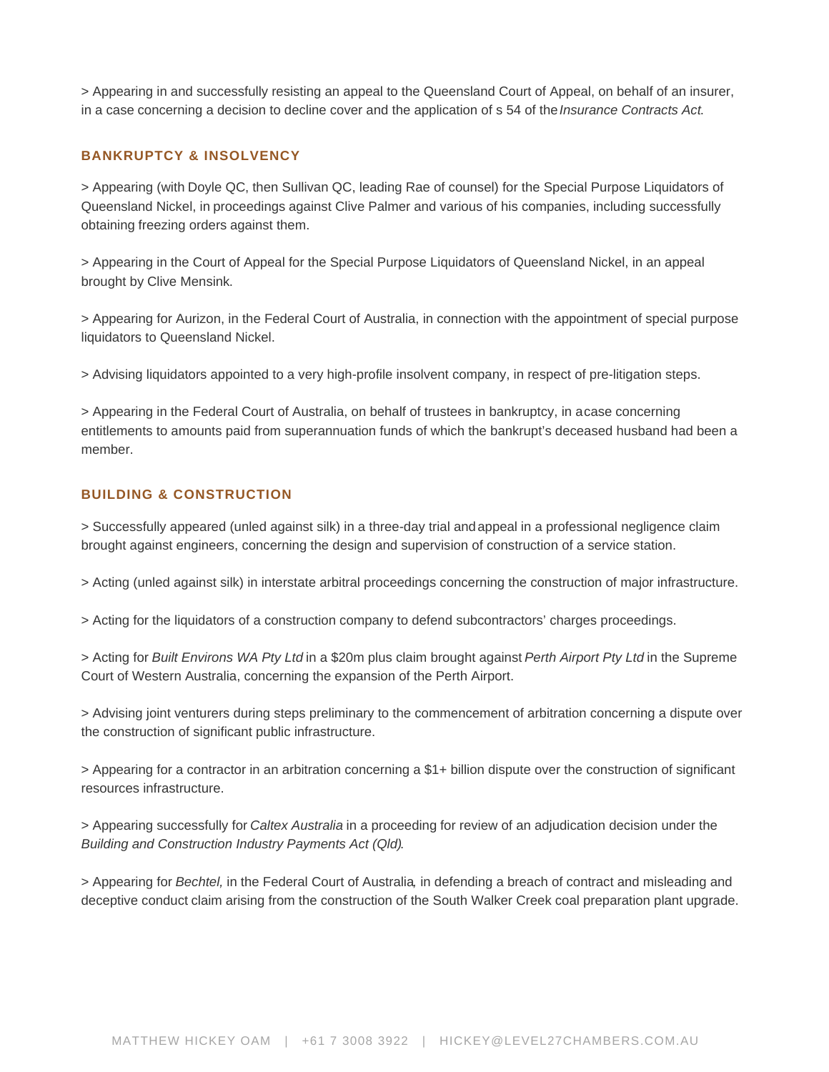> Appearing in and successfully resisting an appeal to the Queensland Court of Appeal, on behalf of an insurer, [in a case](https://www.level27chambers.com.au/cases/johnson-v-triple-c-furniture-2010-243-flr-336-2010-qca-282/) concerning a decision to decline cover and the application of s 54 of the Insurance Contracts Act.

# BANKRUPTCY & INSOLVENCY

> Appearing (with [Doyle QC](https://www.level27chambers.com.au/barristers/shane-doyle/), then Sullivan QC, leading Rae of counsel) for the Special Purpose Liquidators of Queensland Nickel, in [proceedings](http://www.abc.net.au/news/2017-08-03/clive-plamer-dismisses-asset-freeze-political-witchhunt/8771148) against Clive Palmer and various of his companies, including successfully obtaining [freezing orders](https://www.level27chambers.com.au/cases/parbery-v-qni-metals-pty-ltd-ors-l-2018-qsc-107/) against them.

> Appearing in the Court of Appeal for the Special Purpose Liquidators of Queensland Nickel, in an appeal brought by [Clive Mensink](https://www.theage.com.au/business/companies/clive-palmer-to-foot-bill-for-nephew-s-futile-appeal-20180326-p4z69n.html?utm_medium=rss&utm_source=rss_business).

> Appearing for Aurizon, in the Federal Court of Australia, in connection with the appointment of special purpose liquidators to Queensland Nickel.

> Advising liquidators appointed to a very high-profile insolvent company, in respect of pre-litigation steps.

> Appearing in the Federal Court of Australia, on behalf of trustees in bankruptcy, in a [case](https://www.level27chambers.com.au/cases/trustees-property-morris-bankrupt-v-morris-bankrupt-2016-fca-846/) concerning entitlements to amounts paid from superannuation funds of which the bankrupt's deceased husband had been a member.

# BUILDING & CONSTRUCTION

> Successfully appeared (unled against silk) in a three-day trial and [appeal](https://www.level27chambers.com.au/cases/thistle-company-australia-pty-ltd-v-bretz-2018-qca-6/) in a professional negligence claim brought against engineers, concerning the design and supervision of construction of a service station.

> Acting (unled against silk) in interstate arbitral proceedings concerning the construction of major infrastructure.

> Acting for the liquidators of a construction company to defend subcontractors' charges proceedings.

> Acting for Built Environs WA Pty Ltd in a \$20m plus claim brought against Perth Airport Pty Ltd in the Supreme Court of Western Australia, concerning the expansion of the Perth Airport.

> Advising joint venturers during steps preliminary to the commencement of arbitration concerning a dispute over the construction of significant public infrastructure.

> Appearing for a contractor in an arbitration concerning a \$1+ billion dispute over the construction of significant resources infrastructure.

> Appearing successfully for Caltex Australia in a [proceeding](https://www.level27chambers.com.au/cases/caltex-refineries-qld-pty-ltd-anor-v-allstate-access-australia-pty-ltd-ors-2014-qsc-223/) for review of an adjudication decision under the Building and Construction Industry Payments Act (Qld).

> Appearing for Bechtel, in the Federal Court of Australia, in defending a breach of contract and misleading and deceptive conduct [claim](https://www.level27chambers.com.au/cases/york-civil-pty-ltd-v-bhp-billiton-mitsui-coal-pty-ltd/) arising from the construction of the South Walker Creek coal preparation plant upgrade.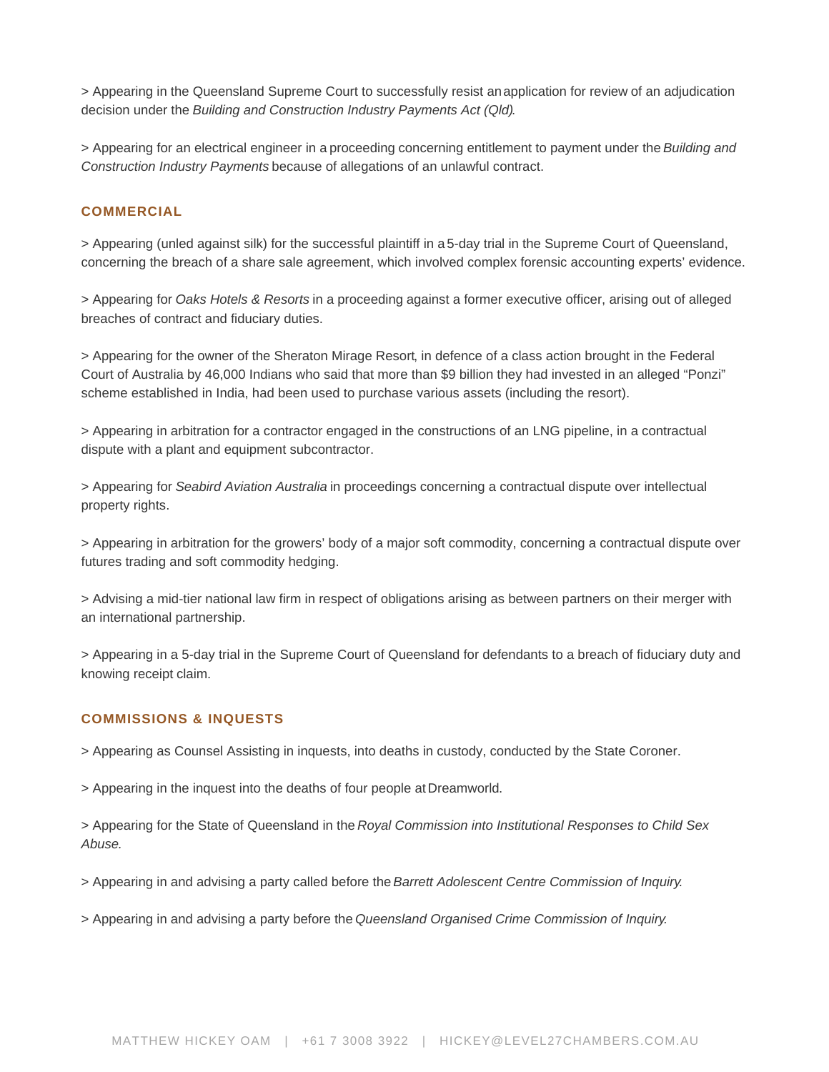> Appearing in the Queensland Supreme Court to successfully resist an [application for review](https://www.level27chambers.com.au/cases/annie-street-jv-pty-ltd-v-mcc-pty-ltd-ors-2016-qsc-268/) of an adjudication decision under the Building and Construction Industry Payments Act (Qld).

> Appearing for an electrical engineer in a [proceeding](https://www.level27chambers.com.au/cases/agripower-australia-ltd-v-queensland-engineering-electrical-pty-ltd-ors-2015-qsc-268/) concerning entitlement to payment under the Building and Construction Industry Payments because of allegations of an unlawful contract.

#### COMMERCIAL

> Appearing (unled against silk) for the successful plaintiff in a [5-day trial](https://www.level27chambers.com.au/cases/fulmer/) in the Supreme Court of Queensland, concerning the breach of a share sale agreement, which involved complex forensic accounting experts' evidence.

> Appearing for Oaks Hotels & Resorts in a [proceeding](https://www.level27chambers.com.au/cases/pointon-ors-v-oaks-hotels-resorts-limited-ors-2016-qsc-152/) against a former executive officer, arising out of alleged breaches of contract and fiduciary duties.

> Appearing for the [owner of the Sheraton Mirage Resort,](http://www.theaustralian.com.au/news/gold-coast-sheraton-mirage-bid-to-hide-pearls-resort-suitor/news-story/1451191c01ffe283b62e63c9d886d594) in defence of a class action brought in the Federal Court of Australia by 46,000 Indians who said that more than \$9 billion they had invested in an alleged "Ponzi" scheme established in India, had been used to purchase various assets (including the resort).

> Appearing in arbitration for a contractor engaged in the constructions of an LNG pipeline, in a contractual dispute with a plant and equipment subcontractor.

> Appearing for Seabird Aviation Australia in proceedings concerning a contractual dispute over intellectual property rights.

> Appearing in arbitration for the growers' body of a major soft commodity, concerning a contractual dispute over futures trading and soft commodity hedging.

> Advising a mid-tier national law firm in respect of obligations arising as between partners on their merger with an international partnership.

> Appearing in a 5-day trial in the Supreme Court of Queensland for defendants to a breach of fiduciary duty and knowing receipt [claim](https://www.level27chambers.com.au/cases/salary-packaging-australia-pty-limited-v-andropov-ors-2014-qsc-167/).

# COMMISSIONS & INQUESTS

> Appearing as Counsel Assisting in inquests, into deaths in custody, conducted by the State Coroner.

> Appearing in the inquest into the deaths of four people at [Dreamworld.](https://www.brisbanetimes.com.au/national/queensland/i-was-maybe-in-the-top-10-operators-at-dreamworld-says-operator-of-fatal-ride-20180619-p4zmh8.html)

> Appearing for the State of Queensland in the [Royal Commission into Institutional Responses to Child Sex](http://childabuseroyalcommission.gov.au)  [Abuse.](http://childabuseroyalcommission.gov.au)

> Appearing in and advising a party called before the [Barrett Adolescent Centre Commission of Inquiry.](https://www.barrettinquiry.qld.gov.au)

> Appearing in and advising a party before the [Queensland Organised Crime Commission of Inquiry.](https://www.organisedcrimeinquiry.qld.gov.au/__data/assets/pdf_file/0017/935/QOCCI15287-ORGANISED-CRIME-INQUIRY_Final_Report.pdf)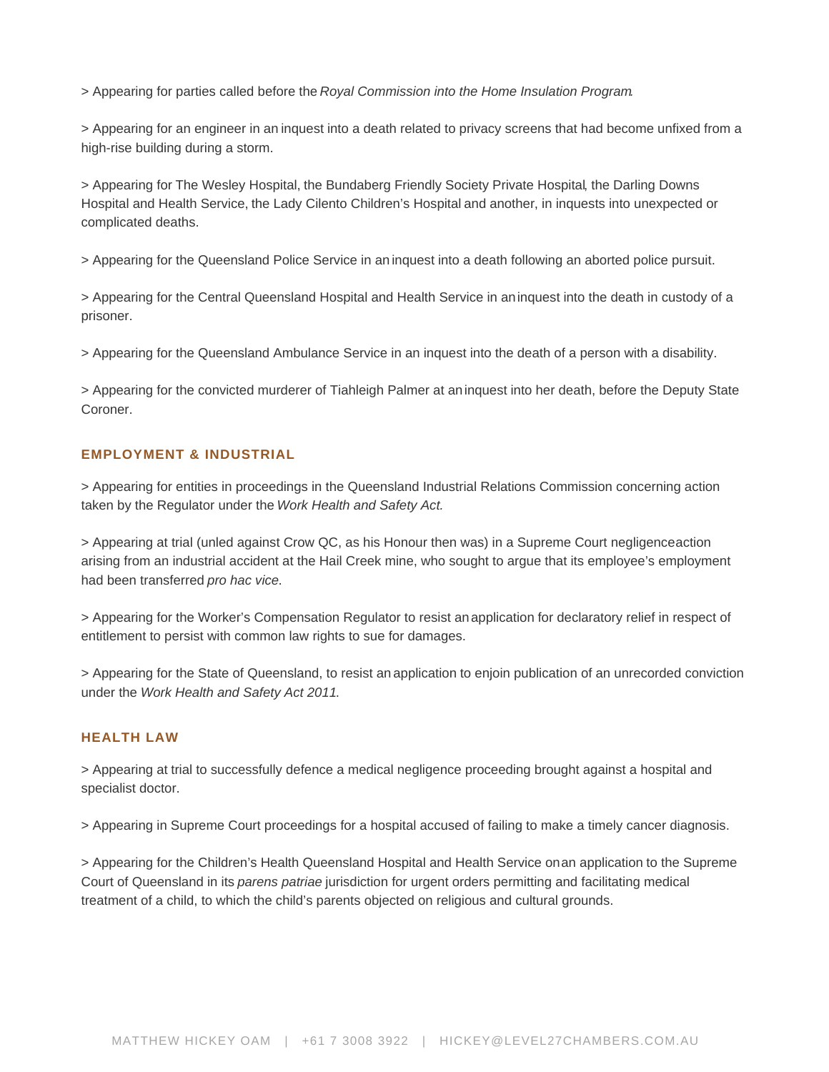> Appearing for parties called before the [Royal Commission into the Home Insulation Program.](http://www.homeinsulationroyalcommission.gov.au/Pages/default.aspx)

> Appearing for an engineer in an [inquest](https://www.level27chambers.com.au/cases/inquest-into-the-death-of-mark-geoffrey-bayliss/) into a death related to privacy screens that had become unfixed from a high-rise building during a storm.

> Appearing for [The Wesley Hospital,](https://www.level27chambers.com.au/cases/inquest-death-james-patrick-talbot/) [the Bundaberg Friendly Society Private Hospital](https://www.level27chambers.com.au/cases/inquest-death-mark-anthony-plumb/), the [Darling Downs](https://www.level27chambers.com.au/cases/inquest-death-rodney-roy-jacobs/)  [Hospital and Health Service,](https://www.level27chambers.com.au/cases/inquest-death-rodney-roy-jacobs/) the [Lady Cilento Children's Hospital](https://www.level27chambers.com.au/cases/inquest-death-joshua-ryan-statis/) and [another,](https://www.level27chambers.com.au/cases/inquest-death-es/) in inquests into unexpected or complicated deaths.

> Appearing for the Queensland Police Service in an [inquest](https://www.level27chambers.com.au/cases/inquest-into-the-death-of-a-13-year-old-girl-p/) into a death following an aborted police pursuit.

> Appearing for the Central Queensland Hospital and Health Service in an [inquest](https://www.level27chambers.com.au/cases/inquest-into-the-death-of-john-michael-spence/) into the death in custody of a prisoner.

> Appearing for the Queensland Ambulance Service in an inquest into the death of a person with a disability.

> Appearing for the convicted murderer of Tiahleigh Palmer at an [inquest](https://www.level27chambers.com.au/cases/inquest-into-the-death-of-tiahleigh-palmer/) into her death, before the Deputy State Coroner.

# EMPLOYMENT & INDUSTRIAL

> Appearing for entities in proceedings in the Queensland Industrial Relations Commission concerning action taken by the Regulator under the Work Health and Safety Act.

> Appearing at trial (unled against Crow QC, as his Honour then was) in a Supreme Court negligence [action](https://www.level27chambers.com.au/cases/paskins-v-hail-creek-coal-pty-ltd-anor-2017-qsc-190/) arising from an industrial accident at the Hail Creek mine, who sought to argue that its employee's employment had been transferred pro hac vice.

> Appearing for the Worker's Compensation Regulator to resist an [application](https://www.level27chambers.com.au/cases/connor-v-queensland-rail-ltd-2016-qsc-270/) for declaratory relief in respect of entitlement to persist with common law rights to sue for damages.

> Appearing for the State of Queensland, to resist an [application](https://www.level27chambers.com.au/cases/dhg-v-state-of-queensland-represented-by-the-department-of-justice-and-attorney-general-2013-qsc-89/) to enjoin publication of an unrecorded conviction under the Work Health and Safety Act 2011.

# HEALTH LAW

> Appearing at [trial](https://www.level27chambers.com.au/cases/sochorova-v-durairaj-anor-2019-qsc-251/) to successfully defence a medical negligence proceeding brought against a hospital and specialist doctor.

> Appearing in Supreme Court proceedings for a hospital accused of failing to make a timely cancer diagnosis.

> Appearing for the Children's Health Queensland Hospital and Health Service on [an application](https://www.level27chambers.com.au/cases/chqhhsvat/) to the Supreme Court of Queensland in its parens patriae jurisdiction for urgent orders permitting and facilitating medical treatment of a child, to which the child's parents objected on religious and cultural grounds.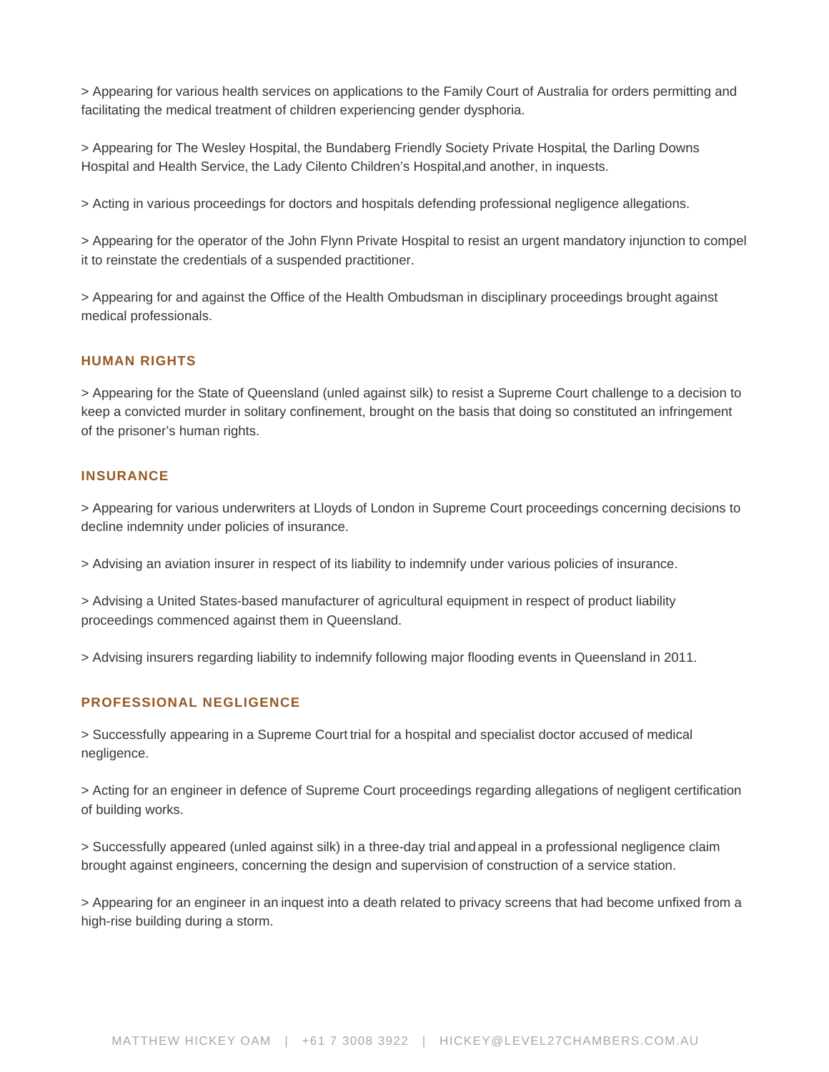> Appearing for various health services on applications to the Family Court of Australia for orders permitting and facilitating the medical treatment of children experiencing gender dysphoria.

> Appearing for [The Wesley Hospital,](https://www.level27chambers.com.au/cases/inquest-death-james-patrick-talbot/) [the Bundaberg Friendly Society Private Hospital](https://www.level27chambers.com.au/cases/inquest-death-mark-anthony-plumb/), the [Darling Downs](https://www.level27chambers.com.au/cases/inquest-death-rodney-roy-jacobs/)  [Hospital and Health Service,](https://www.level27chambers.com.au/cases/inquest-death-rodney-roy-jacobs/) the [Lady Cilento Children's Hospital,a](https://www.level27chambers.com.au/cases/inquest-death-joshua-ryan-statis/)nd [another,](https://www.level27chambers.com.au/cases/inquest-death-es/) in inquests.

> Acting in various proceedings for doctors and hospitals defending professional negligence allegations.

> Appearing for the operator of the John Flynn Private Hospital to resist an urgent mandatory injunction to compel it to reinstate the credentials of a suspended practitioner.

> Appearing for and against the Office of the Health Ombudsman in disciplinary proceedings brought against medical professionals.

#### HUMAN RIGHTS

> Appearing for the State of Queensland (unled against silk) to resist a Supreme Court challenge to a decision to keep a convicted murder in solitary confinement, brought on the basis that doing so constituted an infringement of the prisoner's human rights.

#### INSURANCE

> Appearing for various underwriters at Lloyds of London in Supreme Court proceedings concerning decisions to decline indemnity under policies of insurance.

> Advising an aviation insurer in respect of its liability to indemnify under various policies of insurance.

> Advising a United States-based manufacturer of agricultural equipment in respect of product liability proceedings commenced against them in Queensland.

> Advising insurers regarding liability to indemnify following major flooding events in Queensland in 2011.

# PROFESSIONAL NEGLIGENCE

> Successfully appearing in a Supreme Court [trial](https://www.level27chambers.com.au/cases/sochorova-v-durairaj-anor-2019-qsc-251/) for a hospital and specialist doctor accused of medical negligence.

> Acting for an engineer in defence of Supreme Court proceedings regarding allegations of negligent certification of building works.

> Successfully appeared (unled against silk) in a three-day trial and [appeal](https://www.level27chambers.com.au/cases/thistle-company-australia-pty-ltd-v-bretz-2018-qca-6/) in a professional negligence claim brought against engineers, concerning the design and supervision of construction of a service station.

> Appearing for an engineer in an [inquest](https://www.level27chambers.com.au/cases/inquest-into-the-death-of-mark-geoffrey-bayliss/) into a death related to privacy screens that had become unfixed from a high-rise building during a storm.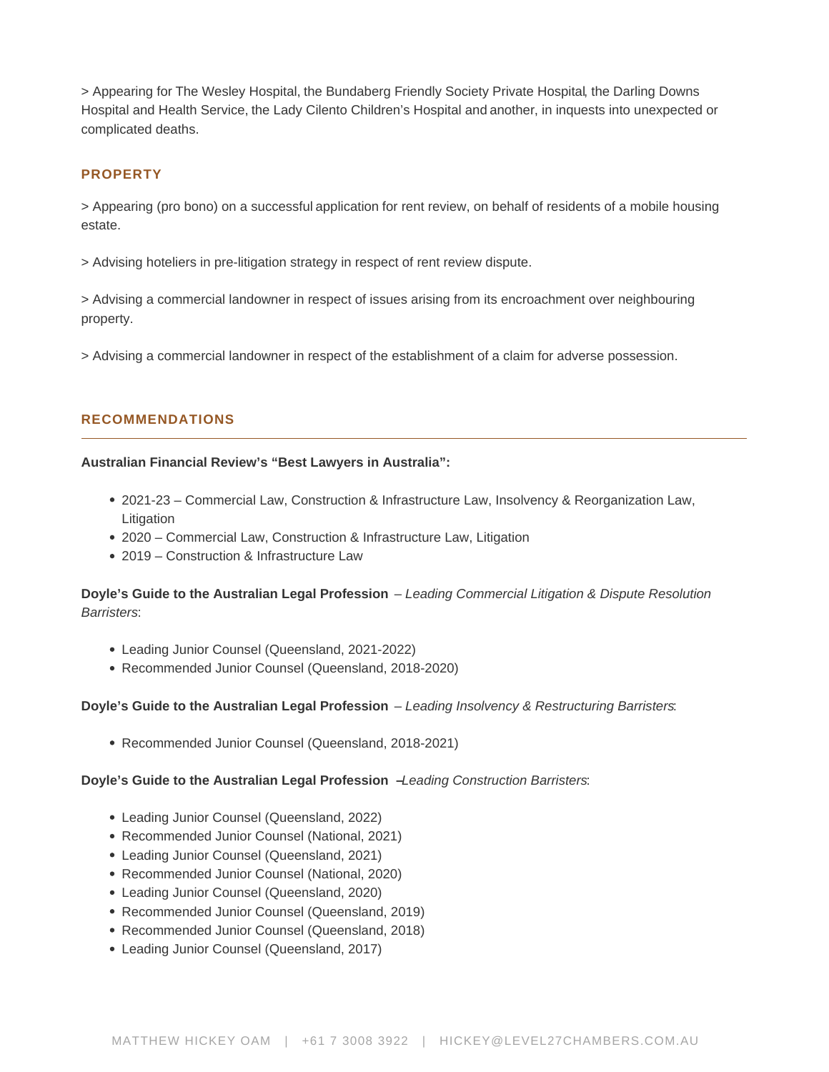> Appearing for [The Wesley Hospital,](https://www.level27chambers.com.au/cases/inquest-death-james-patrick-talbot/) [the Bundaberg Friendly Society Private Hospital](https://www.level27chambers.com.au/cases/inquest-death-mark-anthony-plumb/), the [Darling Downs](https://www.level27chambers.com.au/cases/inquest-death-rodney-roy-jacobs/)  [Hospital and Health Service,](https://www.level27chambers.com.au/cases/inquest-death-rodney-roy-jacobs/) the Lady Cilento Children's Hospital and [another,](https://www.level27chambers.com.au/cases/inquest-death-es/) in inquests into unexpected or complicated deaths.

# PROPERTY

> Appearing (pro bono) on a successful [application](https://www.level27chambers.com.au/cases/forsyth-ors-v-haraba-pty-ltd-ta-brisbane-gateway-resort-no-2-2013-qcat-708/) for rent review, on behalf of residents of a mobile housing estate.

> Advising hoteliers in pre-litigation strategy in respect of rent review dispute.

> Advising a commercial landowner in respect of issues arising from its encroachment over neighbouring property.

> Advising a commercial landowner in respect of the establishment of a claim for adverse possession.

# RECOMMENDATIONS

Australian Financial Review's "Best Lawyers in Australia":

- 2021-23 Commercial Law, Construction & Infrastructure Law, Insolvency & Reorganization Law, Litigation
- 2020 Commercial Law, Construction & Infrastructure Law, Litigation
- 2019 Construction & Infrastructure Law

Doyle's Guide to the Australian Legal Profession – Leading Commercial Litigation & Dispute Resolution Barristers:

- Leading Junior Counsel (Queensland, 2021-2022)
- Recommended Junior Counsel (Queensland, 2018-2020)

Doyle's Guide to the Australian Legal Profession - Leading Insolvency & Restructuring Barristers:

Recommended Junior Counsel (Queensland, 2018-2021)

Doyle's Guide to the Australian Legal Profession – Leading Construction Barristers:

- Leading Junior Counsel (Queensland, 2022)
- Recommended Junior Counsel (National, 2021)
- Leading Junior Counsel (Queensland, 2021)
- Recommended Junior Counsel (National, 2020)
- Leading Junior Counsel (Queensland, 2020)
- Recommended Junior Counsel (Queensland, 2019)
- Recommended Junior Counsel (Queensland, 2018)
- Leading Junior Counsel (Queensland, 2017)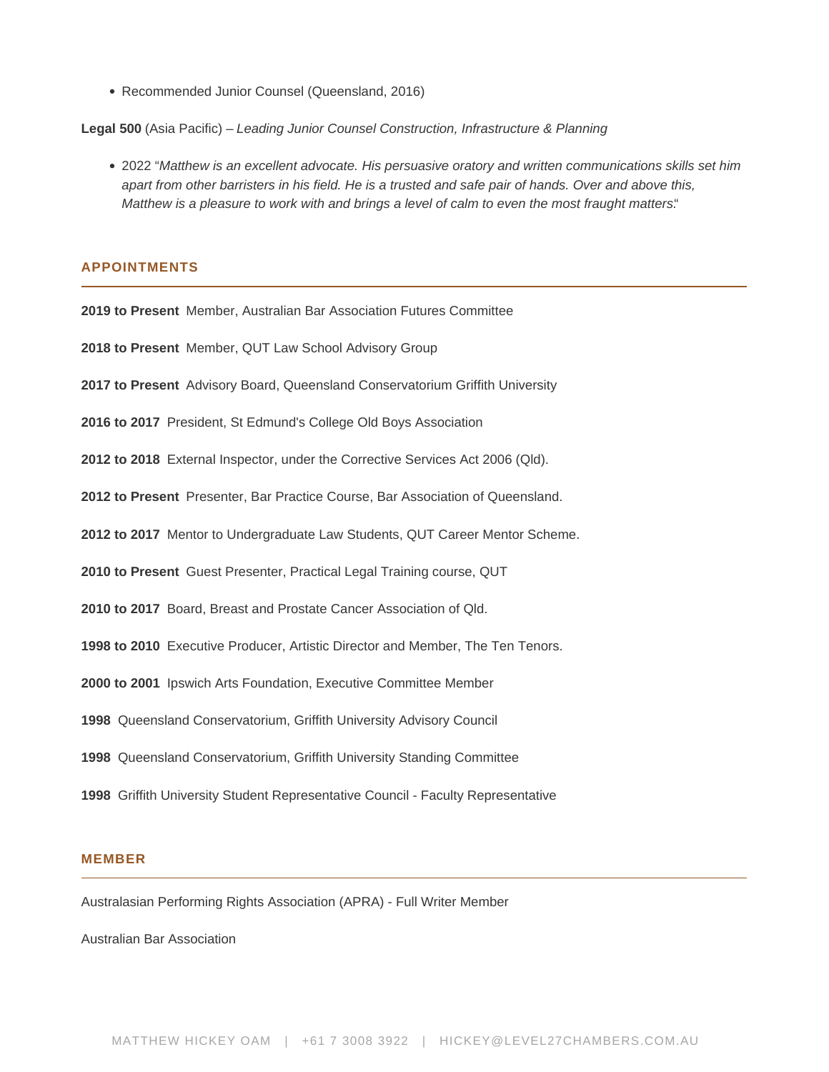Recommended Junior Counsel (Queensland, 2016)

**Legal 500** (Asia Pacific) – Leading Junior Counsel Construction, Infrastructure & Planning

2022 "Matthew is an excellent advocate. His persuasive oratory and written communications skills set him apart from other barristers in his field. He is a trusted and safe pair of hands. Over and above this, Matthew is a pleasure to work with and brings a level of calm to even the most fraught matters."

#### **APPOINTMENTS**

**2019 to Present** Member, Australian Bar Association Futures Committee

**2018 to Present** Member, QUT Law School Advisory Group

- **2017 to Present** Advisory Board, Queensland Conservatorium Griffith University
- **2016 to 2017** President, St Edmund's College Old Boys Association
- **2012 to 2018** External Inspector, under the Corrective Services Act 2006 (Qld).
- **2012 to Present** Presenter, Bar Practice Course, Bar Association of Queensland.
- **2012 to 2017** Mentor to Undergraduate Law Students, QUT Career Mentor Scheme.
- **2010 to Present** Guest Presenter, Practical Legal Training course, QUT
- **2010 to 2017** Board, Breast and Prostate Cancer Association of Qld.
- **1998 to 2010** Executive Producer, Artistic Director and Member, The Ten Tenors.
- **2000 to 2001** Ipswich Arts Foundation, Executive Committee Member
- **1998** Queensland Conservatorium, Griffith University Advisory Council
- **1998** Queensland Conservatorium, Griffith University Standing Committee
- **1998** Griffith University Student Representative Council Faculty Representative

#### **MEMBER**

Australasian Performing Rights Association (APRA) - Full Writer Member

Australian Bar Association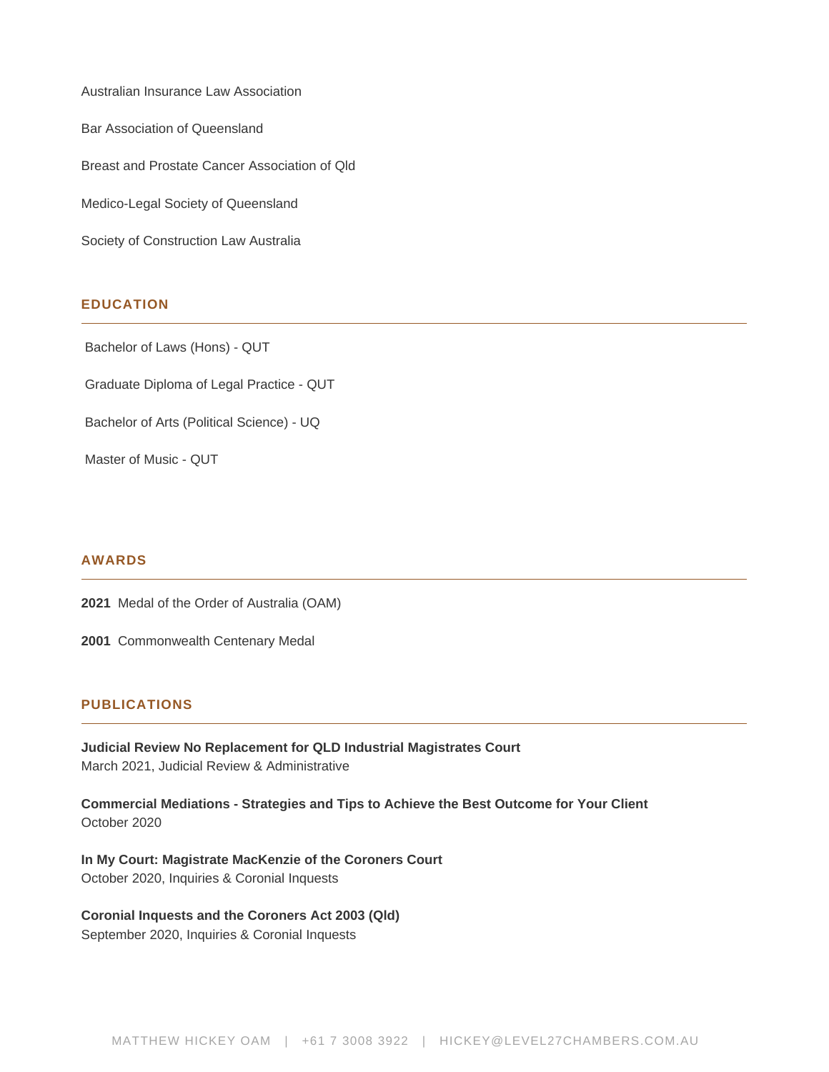Australian Insurance Law Association Bar Association of Queensland Breast and Prostate Cancer Association of Qld Medico-Legal Society of Queensland Society of Construction Law Australia

# **EDUCATION**

Bachelor of Laws (Hons) - QUT

Graduate Diploma of Legal Practice - QUT

Bachelor of Arts (Political Science) - UQ

Master of Music - QUT

#### **AWARDS**

**2021** Medal of the Order of Australia (OAM)

**2001** Commonwealth Centenary Medal

#### **PUBLICATIONS**

**Judicial Review No Replacement for QLD Industrial Magistrates Court** March 2021, Judicial Review & Administrative

**Commercial Mediations - Strategies and Tips to Achieve the Best Outcome for Your Client** October 2020

**In My Court: Magistrate MacKenzie of the Coroners Court** October 2020, Inquiries & Coronial Inquests

# **Coronial Inquests and the Coroners Act 2003 (Qld)**

September 2020, Inquiries & Coronial Inquests